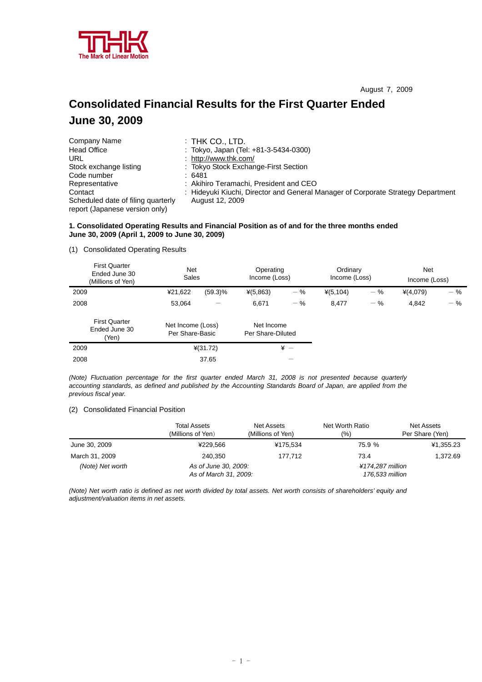

# **Consolidated Financial Results for the First Quarter Ended June 30, 2009**

| Company Name                                                         | $:$ THK CO., LTD.                                                                |
|----------------------------------------------------------------------|----------------------------------------------------------------------------------|
| <b>Head Office</b>                                                   | : Tokyo, Japan (Tel: +81-3-5434-0300)                                            |
| URL                                                                  | : http://www.thk.com/                                                            |
| Stock exchange listing                                               | : Tokyo Stock Exchange-First Section                                             |
| Code number                                                          | : 6481                                                                           |
| Representative                                                       | : Akihiro Teramachi, President and CEO                                           |
| Contact                                                              | : Hideyuki Kiuchi, Director and General Manager of Corporate Strategy Department |
| Scheduled date of filing quarterly<br>report (Japanese version only) | August 12, 2009                                                                  |

# **1. Consolidated Operating Results and Financial Position as of and for the three months ended June 30, 2009 (April 1, 2009 to June 30, 2009)**

### (1) Consolidated Operating Results

| <b>First Quarter</b><br>Ended June 30<br>(Millions of Yen) | <b>Net</b><br>Sales                  |            | Operating<br>Income (Loss)      |       | Ordinary<br>Income (Loss) |       | <b>Net</b><br>Income (Loss) |       |
|------------------------------------------------------------|--------------------------------------|------------|---------------------------------|-------|---------------------------|-------|-----------------------------|-------|
| 2009                                                       | ¥21,622                              | $(59.3)\%$ | $*(5,863)$                      | $-$ % | $*(5, 104)$               | $-$ % | $*(4,079)$                  | $-$ % |
| 2008                                                       | 53.064                               | —          | 6.671                           | $-$ % | 8.477                     | $-$ % | 4,842                       | $-$ % |
| <b>First Quarter</b><br>Ended June 30<br>(Yen)             | Net Income (Loss)<br>Per Share-Basic |            | Net Income<br>Per Share-Diluted |       |                           |       |                             |       |
| 2009                                                       |                                      | $*(31.72)$ |                                 | $* -$ |                           |       |                             |       |
| 2008                                                       |                                      | 37.65      |                                 |       |                           |       |                             |       |

*(Note) Fluctuation percentage for the first quarter ended March 31, 2008 is not presented because quarterly accounting standards, as defined and published by the Accounting Standards Board of Japan, are applied from the previous fiscal year.* 

# (2) Consolidated Financial Position

|                  | <b>Total Assets</b><br>(Millions of Yen) | Net Assets<br>(Millions of Yen) | Net Worth Ratio<br>(%) | Net Assets<br>Per Share (Yen) |
|------------------|------------------------------------------|---------------------------------|------------------------|-------------------------------|
| June 30, 2009    | ¥229.566                                 | ¥175.534                        | 75.9 %                 | ¥1,355.23                     |
| March 31, 2009   | 240.350                                  | 177.712                         | 73.4                   | 1.372.69                      |
| (Note) Net worth | As of June 30, 2009:                     |                                 | ¥174.287 million       |                               |
|                  | As of March 31, 2009:                    |                                 | 176,533 million        |                               |

*(Note) Net worth ratio is defined as net worth divided by total assets. Net worth consists of shareholders' equity and adjustment/valuation items in net assets.*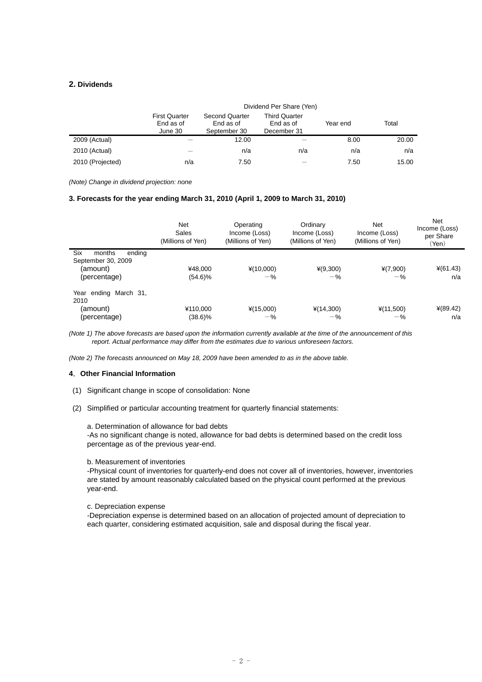# **2. Dividends**

|                  |                                              | Dividend Per Share (Yen)                           |                                                  |          |       |  |
|------------------|----------------------------------------------|----------------------------------------------------|--------------------------------------------------|----------|-------|--|
|                  | <b>First Quarter</b><br>End as of<br>June 30 | <b>Second Quarter</b><br>End as of<br>September 30 | <b>Third Quarter</b><br>End as of<br>December 31 | Year end | Total |  |
| 2009 (Actual)    |                                              | 12.00                                              |                                                  | 8.00     | 20.00 |  |
| 2010 (Actual)    |                                              | n/a                                                | n/a                                              | n/a      | n/a   |  |
| 2010 (Projected) | n/a                                          | 7.50                                               |                                                  | 7.50     | 15.00 |  |

*(Note) Change in dividend projection: none* 

# **3. Forecasts for the year ending March 31, 2010 (April 1, 2009 to March 31, 2010)**

|                                                                           | Net<br>Sales<br>(Millions of Yen) | Operating<br>Income (Loss)<br>(Millions of Yen) | Ordinary<br>Income (Loss)<br>(Millions of Yen) | Net<br>Income (Loss)<br>(Millions of Yen) | Net<br>Income (Loss)<br>per Share<br>(Yen) |
|---------------------------------------------------------------------------|-----------------------------------|-------------------------------------------------|------------------------------------------------|-------------------------------------------|--------------------------------------------|
| Six<br>months<br>ending<br>September 30, 2009<br>(amount)<br>(percentage) | ¥48,000<br>$(54.6)\%$             | $*(10,000)$<br>$-$ %                            | $*(9,300)$<br>$-$ %                            | $*(7,900)$<br>$-\%$                       | $*(61.43)$<br>n/a                          |
| Year ending March 31,<br>2010<br>(amount)<br>(percentage)                 | ¥110,000<br>$(38.6)\%$            | $*(15,000)$<br>$-$ %                            | $*(14,300)$<br>$-$ %                           | $*(11,500)$<br>$-$ %                      | $*(89.42)$<br>n/a                          |

*(Note 1) The above forecasts are based upon the information currently available at the time of the announcement of this report. Actual performance may differ from the estimates due to various unforeseen factors.* 

*(Note 2) The forecasts announced on May 18, 2009 have been amended to as in the above table.* 

#### **4**.**Other Financial Information**

- (1) Significant change in scope of consolidation: None
- (2) Simplified or particular accounting treatment for quarterly financial statements:

a. Determination of allowance for bad debts

-As no significant change is noted, allowance for bad debts is determined based on the credit loss percentage as of the previous year-end.

#### b. Measurement of inventories

-Physical count of inventories for quarterly-end does not cover all of inventories, however, inventories are stated by amount reasonably calculated based on the physical count performed at the previous year-end.

#### c. Depreciation expense

-Depreciation expense is determined based on an allocation of projected amount of depreciation to each quarter, considering estimated acquisition, sale and disposal during the fiscal year.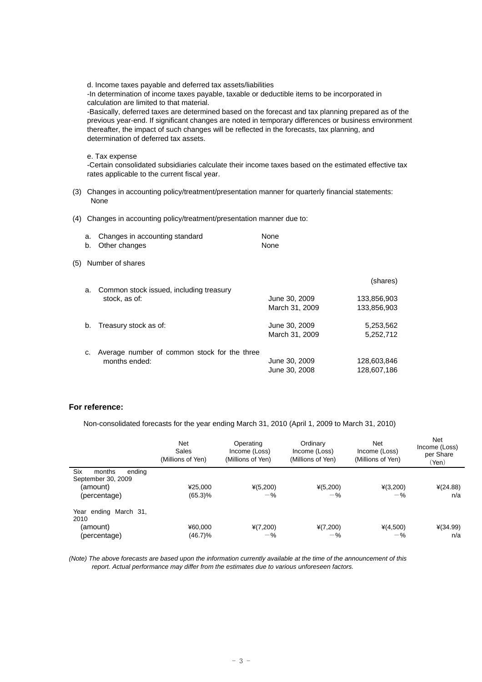d. Income taxes payable and deferred tax assets/liabilities

-In determination of income taxes payable, taxable or deductible items to be incorporated in calculation are limited to that material.

-Basically, deferred taxes are determined based on the forecast and tax planning prepared as of the previous year-end. If significant changes are noted in temporary differences or business environment thereafter, the impact of such changes will be reflected in the forecasts, tax planning, and determination of deferred tax assets.

e. Tax expense

-Certain consolidated subsidiaries calculate their income taxes based on the estimated effective tax rates applicable to the current fiscal year.

- (3) Changes in accounting policy/treatment/presentation manner for quarterly financial statements: None
- (4) Changes in accounting policy/treatment/presentation manner due to:

| a. Changes in accounting standard | None |
|-----------------------------------|------|
| b. Other changes                  | None |

(5) Number of shares

| a. | Common stock issued, including treasury                       |                                 | (shares)                   |
|----|---------------------------------------------------------------|---------------------------------|----------------------------|
|    | stock, as of:                                                 | June 30, 2009<br>March 31, 2009 | 133,856,903<br>133,856,903 |
| b. | Treasury stock as of:                                         | June 30, 2009<br>March 31, 2009 | 5,253,562<br>5,252,712     |
| c. | Average number of common stock for the three<br>months ended: | June 30, 2009<br>June 30, 2008  | 128,603,846<br>128,607,186 |

# **For reference:**

Non-consolidated forecasts for the year ending March 31, 2010 (April 1, 2009 to March 31, 2010)

|                                                                           | Net<br>Sales<br>(Millions of Yen) | Operating<br>Income (Loss)<br>(Millions of Yen) | Ordinary<br>Income (Loss)<br>(Millions of Yen) | Net<br>Income (Loss)<br>(Millions of Yen) | Net<br>Income (Loss)<br>per Share<br>(Yen) |
|---------------------------------------------------------------------------|-----------------------------------|-------------------------------------------------|------------------------------------------------|-------------------------------------------|--------------------------------------------|
| Six<br>months<br>endina<br>September 30, 2009<br>(amount)<br>(percentage) | ¥25.000<br>(65.3)%                | $*(5,200)$<br>$-$ %                             | $*(5,200)$<br>$-$ %                            | $*(3,200)$<br>$-$ %                       | $*(24.88)$<br>n/a                          |
| Year ending March 31,<br>2010<br>(amount)<br>(percentage)                 | ¥60,000<br>$(46.7)\%$             | $*(7,200)$<br>$-$ %                             | $*(7,200)$<br>$-$ %                            | $*(4,500)$<br>$-$ %                       | $*(34.99)$<br>n/a                          |

*(Note) The above forecasts are based upon the information currently available at the time of the announcement of this report. Actual performance may differ from the estimates due to various unforeseen factors.*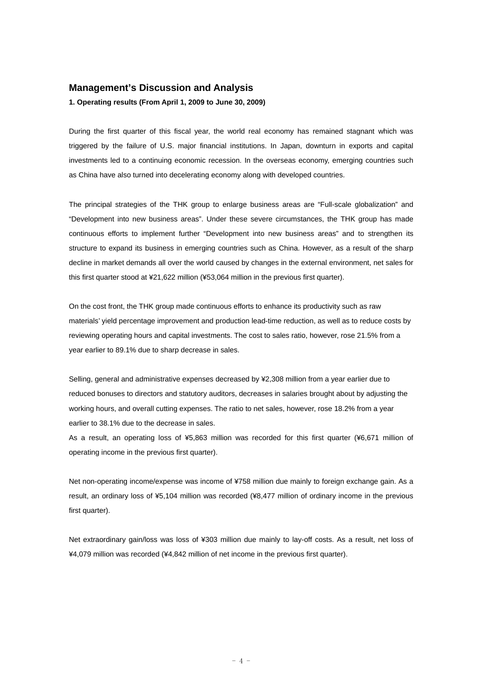# **Management's Discussion and Analysis**

**1. Operating results (From April 1, 2009 to June 30, 2009)** 

During the first quarter of this fiscal year, the world real economy has remained stagnant which was triggered by the failure of U.S. major financial institutions. In Japan, downturn in exports and capital investments led to a continuing economic recession. In the overseas economy, emerging countries such as China have also turned into decelerating economy along with developed countries.

The principal strategies of the THK group to enlarge business areas are "Full-scale globalization" and "Development into new business areas". Under these severe circumstances, the THK group has made continuous efforts to implement further "Development into new business areas" and to strengthen its structure to expand its business in emerging countries such as China. However, as a result of the sharp decline in market demands all over the world caused by changes in the external environment, net sales for this first quarter stood at ¥21,622 million (¥53,064 million in the previous first quarter).

On the cost front, the THK group made continuous efforts to enhance its productivity such as raw materials' yield percentage improvement and production lead-time reduction, as well as to reduce costs by reviewing operating hours and capital investments. The cost to sales ratio, however, rose 21.5% from a year earlier to 89.1% due to sharp decrease in sales.

Selling, general and administrative expenses decreased by ¥2,308 million from a year earlier due to reduced bonuses to directors and statutory auditors, decreases in salaries brought about by adjusting the working hours, and overall cutting expenses. The ratio to net sales, however, rose 18.2% from a year earlier to 38.1% due to the decrease in sales.

As a result, an operating loss of ¥5,863 million was recorded for this first quarter (¥6,671 million of operating income in the previous first quarter).

Net non-operating income/expense was income of ¥758 million due mainly to foreign exchange gain. As a result, an ordinary loss of ¥5,104 million was recorded (¥8,477 million of ordinary income in the previous first quarter).

Net extraordinary gain/loss was loss of ¥303 million due mainly to lay-off costs. As a result, net loss of ¥4,079 million was recorded (¥4,842 million of net income in the previous first quarter).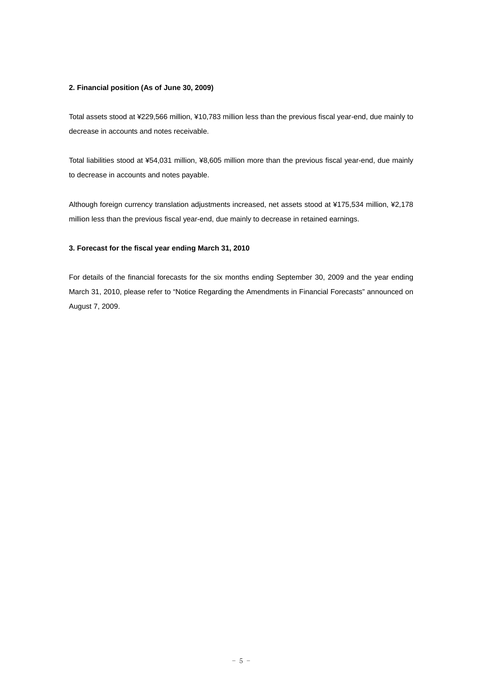## **2. Financial position (As of June 30, 2009)**

Total assets stood at ¥229,566 million, ¥10,783 million less than the previous fiscal year-end, due mainly to decrease in accounts and notes receivable.

Total liabilities stood at ¥54,031 million, ¥8,605 million more than the previous fiscal year-end, due mainly to decrease in accounts and notes payable.

Although foreign currency translation adjustments increased, net assets stood at ¥175,534 million, ¥2,178 million less than the previous fiscal year-end, due mainly to decrease in retained earnings.

# **3. Forecast for the fiscal year ending March 31, 2010**

For details of the financial forecasts for the six months ending September 30, 2009 and the year ending March 31, 2010, please refer to "Notice Regarding the Amendments in Financial Forecasts" announced on August 7, 2009.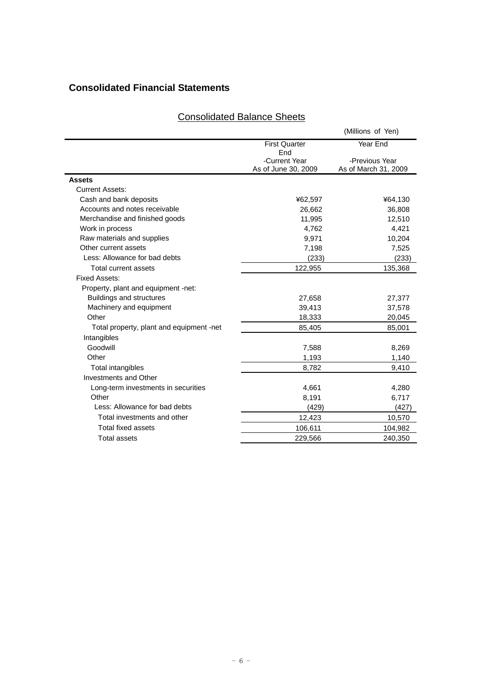# **Consolidated Financial Statements**

|--|

|                                          |                                      | (Millions of Yen)                      |
|------------------------------------------|--------------------------------------|----------------------------------------|
|                                          | <b>First Quarter</b><br>End          | Year End                               |
|                                          | -Current Year<br>As of June 30, 2009 | -Previous Year<br>As of March 31, 2009 |
| <b>Assets</b>                            |                                      |                                        |
| <b>Current Assets:</b>                   |                                      |                                        |
| Cash and bank deposits                   | ¥62,597                              | ¥64,130                                |
| Accounts and notes receivable            | 26,662                               | 36,808                                 |
| Merchandise and finished goods           | 11,995                               | 12,510                                 |
| Work in process                          | 4,762                                | 4,421                                  |
| Raw materials and supplies               | 9,971                                | 10,204                                 |
| Other current assets                     | 7,198                                | 7,525                                  |
| Less: Allowance for bad debts            | (233)                                | (233)                                  |
| Total current assets                     | 122,955                              | 135,368                                |
| Fixed Assets:                            |                                      |                                        |
| Property, plant and equipment -net:      |                                      |                                        |
| Buildings and structures                 | 27,658                               | 27,377                                 |
| Machinery and equipment                  | 39,413                               | 37,578                                 |
| Other                                    | 18,333                               | 20,045                                 |
| Total property, plant and equipment -net | 85,405                               | 85,001                                 |
| Intangibles                              |                                      |                                        |
| Goodwill                                 | 7,588                                | 8,269                                  |
| Other                                    | 1,193                                | 1,140                                  |
| <b>Total intangibles</b>                 | 8,782                                | 9,410                                  |
| Investments and Other                    |                                      |                                        |
| Long-term investments in securities      | 4,661                                | 4,280                                  |
| Other                                    | 8,191                                | 6,717                                  |
| Less: Allowance for bad debts            | (429)                                | (427)                                  |
| Total investments and other              | 12,423                               | 10,570                                 |
| <b>Total fixed assets</b>                | 106,611                              | 104,982                                |
| <b>Total assets</b>                      | 229.566                              | 240,350                                |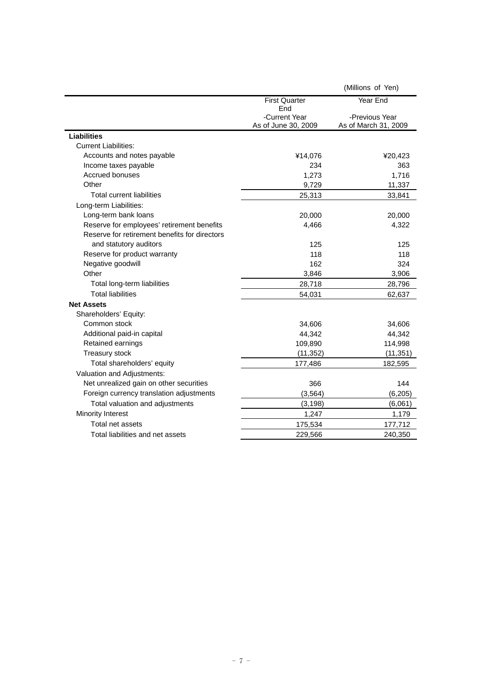|                                               |                                      | (Millions of Yen)                      |
|-----------------------------------------------|--------------------------------------|----------------------------------------|
|                                               | <b>First Quarter</b><br>End          | Year End                               |
|                                               | -Current Year<br>As of June 30, 2009 | -Previous Year<br>As of March 31, 2009 |
| <b>Liabilities</b>                            |                                      |                                        |
| <b>Current Liabilities:</b>                   |                                      |                                        |
| Accounts and notes payable                    | ¥14,076                              | ¥20,423                                |
| Income taxes payable                          | 234                                  | 363                                    |
| <b>Accrued bonuses</b>                        | 1,273                                | 1,716                                  |
| Other                                         | 9,729                                | 11,337                                 |
| <b>Total current liabilities</b>              | 25,313                               | 33,841                                 |
| Long-term Liabilities:                        |                                      |                                        |
| Long-term bank loans                          | 20,000                               | 20,000                                 |
| Reserve for employees' retirement benefits    | 4,466                                | 4,322                                  |
| Reserve for retirement benefits for directors |                                      |                                        |
| and statutory auditors                        | 125                                  | 125                                    |
| Reserve for product warranty                  | 118                                  | 118                                    |
| Negative goodwill                             | 162                                  | 324                                    |
| Other                                         | 3,846                                | 3,906                                  |
| Total long-term liabilities                   | 28,718                               | 28,796                                 |
| <b>Total liabilities</b>                      | 54,031                               | 62,637                                 |
| <b>Net Assets</b>                             |                                      |                                        |
| Shareholders' Equity:                         |                                      |                                        |
| Common stock                                  | 34,606                               | 34,606                                 |
| Additional paid-in capital                    | 44,342                               | 44,342                                 |
| Retained earnings                             | 109,890                              | 114,998                                |
| Treasury stock                                | (11, 352)                            | (11, 351)                              |
| Total shareholders' equity                    | 177,486                              | 182,595                                |
| Valuation and Adjustments:                    |                                      |                                        |
| Net unrealized gain on other securities       | 366                                  | 144                                    |
| Foreign currency translation adjustments      | (3, 564)                             | (6, 205)                               |
| Total valuation and adjustments               | (3, 198)                             | (6,061)                                |
| Minority Interest                             | 1,247                                | 1,179                                  |
| Total net assets                              | 175,534                              | 177,712                                |
| Total liabilities and net assets              | 229,566                              | 240,350                                |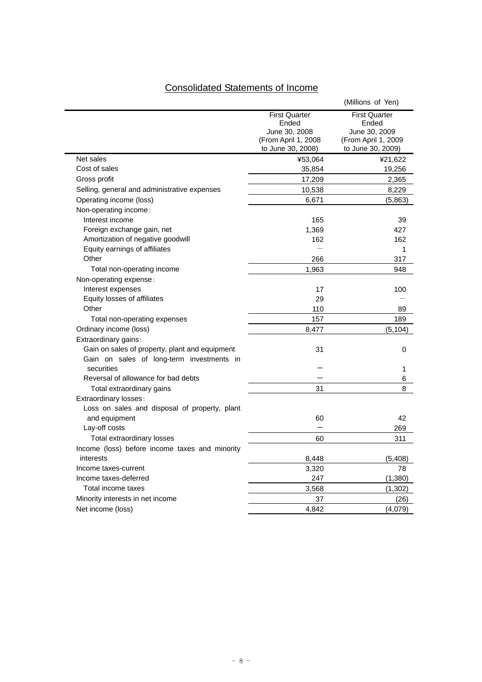# Consolidated Statements of Income

|                                                                                             |                                                                                             | (Millions of Yen)                                                                          |
|---------------------------------------------------------------------------------------------|---------------------------------------------------------------------------------------------|--------------------------------------------------------------------------------------------|
|                                                                                             | <b>First Quarter</b><br>Ended<br>June 30, 2008<br>(From April 1, 2008)<br>to June 30, 2008) | <b>First Quarter</b><br>Ended<br>June 30, 2009<br>(From April 1, 2009<br>to June 30, 2009) |
| Net sales                                                                                   | ¥53,064                                                                                     | ¥21,622                                                                                    |
| Cost of sales                                                                               | 35,854                                                                                      | 19,256                                                                                     |
| Gross profit                                                                                | 17,209                                                                                      | 2,365                                                                                      |
| Selling, general and administrative expenses                                                | 10,538                                                                                      | 8,229                                                                                      |
| Operating income (loss)                                                                     | 6,671                                                                                       | (5,863)                                                                                    |
| Non-operating income:                                                                       |                                                                                             |                                                                                            |
| Interest income                                                                             | 165                                                                                         | 39                                                                                         |
| Foreign exchange gain, net                                                                  | 1,369                                                                                       | 427                                                                                        |
| Amortization of negative goodwill                                                           | 162                                                                                         | 162                                                                                        |
| Equity earnings of affiliates                                                               |                                                                                             | 1                                                                                          |
| Other                                                                                       | 266                                                                                         | 317                                                                                        |
| Total non-operating income                                                                  | 1,963                                                                                       | 948                                                                                        |
| Non-operating expense:                                                                      |                                                                                             |                                                                                            |
| Interest expenses                                                                           | 17                                                                                          | 100                                                                                        |
| Equity losses of affiliates                                                                 | 29                                                                                          |                                                                                            |
| Other                                                                                       | 110                                                                                         | 89                                                                                         |
| Total non-operating expenses                                                                | 157                                                                                         | 189                                                                                        |
| Ordinary income (loss)                                                                      | 8,477                                                                                       | (5, 104)                                                                                   |
| Extraordinary gains:                                                                        |                                                                                             |                                                                                            |
| Gain on sales of property, plant and equipment<br>Gain on sales of long-term investments in | 31                                                                                          | 0                                                                                          |
| securities                                                                                  |                                                                                             | 1                                                                                          |
| Reversal of allowance for bad debts                                                         |                                                                                             | 6                                                                                          |
| Total extraordinary gains                                                                   | 31                                                                                          | 8                                                                                          |
| Extraordinary losses:                                                                       |                                                                                             |                                                                                            |
| Loss on sales and disposal of property, plant                                               |                                                                                             |                                                                                            |
| and equipment                                                                               | 60                                                                                          | 42                                                                                         |
| Lay-off costs                                                                               |                                                                                             | 269                                                                                        |
| Total extraordinary losses                                                                  | 60                                                                                          | 311                                                                                        |
| Income (loss) before income taxes and minority                                              |                                                                                             |                                                                                            |
| interests                                                                                   | 8,448                                                                                       | (5,408)                                                                                    |
| Income taxes-current                                                                        | 3,320                                                                                       | 78                                                                                         |
| Income taxes-deferred                                                                       | 247                                                                                         | (1, 380)                                                                                   |
| Total income taxes                                                                          | 3,568                                                                                       | (1, 302)                                                                                   |
| Minority interests in net income                                                            | 37                                                                                          | (26)                                                                                       |
| Net income (loss)                                                                           | 4,842                                                                                       | (4,079)                                                                                    |
|                                                                                             |                                                                                             |                                                                                            |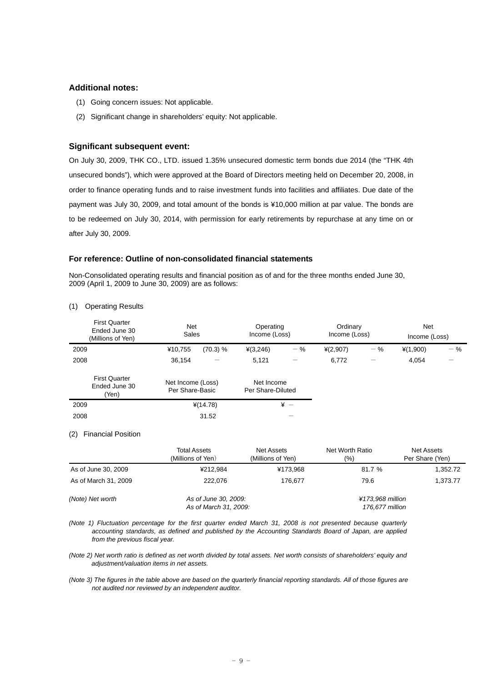## **Additional notes:**

- (1) Going concern issues: Not applicable.
- (2) Significant change in shareholders' equity: Not applicable.

# **Significant subsequent event:**

On July 30, 2009, THK CO., LTD. issued 1.35% unsecured domestic term bonds due 2014 (the "THK 4th unsecured bonds"), which were approved at the Board of Directors meeting held on December 20, 2008, in order to finance operating funds and to raise investment funds into facilities and affiliates. Due date of the payment was July 30, 2009, and total amount of the bonds is ¥10,000 million at par value. The bonds are to be redeemed on July 30, 2014, with permission for early retirements by repurchase at any time on or after July 30, 2009.

### **For reference: Outline of non-consolidated financial statements**

Non-Consolidated operating results and financial position as of and for the three months ended June 30, 2009 (April 1, 2009 to June 30, 2009) are as follows:

| <b>First Quarter</b><br>Ended June 30<br>(Millions of Yen) | Net<br>Sales                         |          | Operating<br>Income (Loss)      |                          | Ordinary<br>Income (Loss) |       | <b>Net</b><br>Income (Loss) |                          |
|------------------------------------------------------------|--------------------------------------|----------|---------------------------------|--------------------------|---------------------------|-------|-----------------------------|--------------------------|
| 2009                                                       | ¥10,755                              | (70.3) % | $*(3,246)$                      | $-$ %                    | ¥(2,907)                  | $-$ % | $*(1,900)$                  | $-$ %                    |
| 2008                                                       | 36,154                               |          | 5,121                           | $\overline{\phantom{0}}$ | 6,772                     |       | 4,054                       | $\overline{\phantom{0}}$ |
| <b>First Quarter</b><br>Ended June 30<br>(Yen)             | Net Income (Loss)<br>Per Share-Basic |          | Net Income<br>Per Share-Diluted |                          |                           |       |                             |                          |
| 2009                                                       | $*(14.78)$                           |          | $* -$                           |                          |                           |       |                             |                          |
| 2008                                                       |                                      | 31.52    |                                 |                          |                           |       |                             |                          |

(1) Operating Results

#### (2) Financial Position

|                      | <b>Total Assets</b><br>(Millions of Yen)      | Net Assets<br>(Millions of Yen) | Net Worth Ratio<br>(%)              | Net Assets<br>Per Share (Yen) |  |
|----------------------|-----------------------------------------------|---------------------------------|-------------------------------------|-------------------------------|--|
| As of June 30, 2009  | ¥212.984                                      | ¥173.968                        | 81.7 %                              | 1,352.72                      |  |
| As of March 31, 2009 | 222.076                                       | 176.677                         | 79.6                                | 1,373.77                      |  |
| (Note) Net worth     | As of June 30, 2009:<br>As of March 31, 2009: |                                 | ¥173.968 million<br>176,677 million |                               |  |

*(Note 1) Fluctuation percentage for the first quarter ended March 31, 2008 is not presented because quarterly accounting standards, as defined and published by the Accounting Standards Board of Japan, are applied from the previous fiscal year.* 

*(Note 2) Net worth ratio is defined as net worth divided by total assets. Net worth consists of shareholders' equity and adjustment/valuation items in net assets.*

*(Note 3) The figures in the table above are based on the quarterly financial reporting standards. All of those figures are not audited nor reviewed by an independent auditor.*